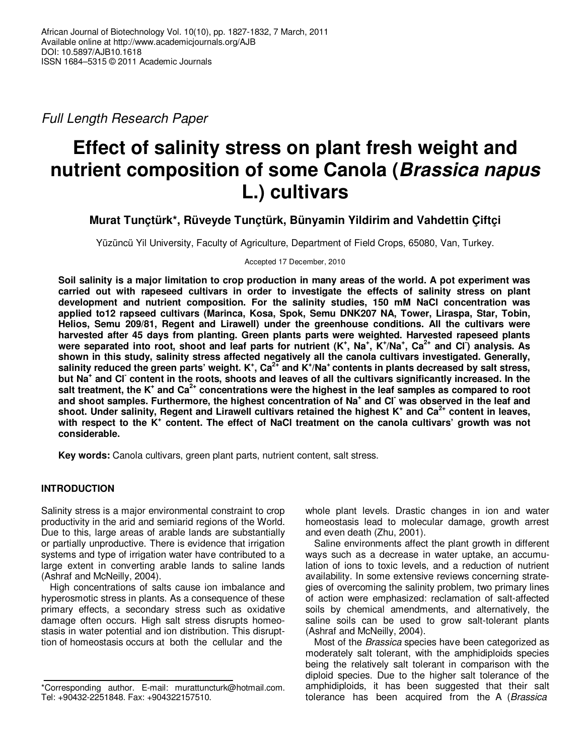Full Length Research Paper

# **Effect of salinity stress on plant fresh weight and nutrient composition of some Canola (Brassica napus L.) cultivars**

**Murat Tunçtürk\*, Rüveyde Tunçtürk, Bünyamin Yildirim and Vahdettin Çiftçi** 

Yüzüncü Yil University, Faculty of Agriculture, Department of Field Crops, 65080, Van, Turkey.

Accepted 17 December, 2010

**Soil salinity is a major limitation to crop production in many areas of the world. A pot experiment was carried out with rapeseed cultivars in order to investigate the effects of salinity stress on plant development and nutrient composition. For the salinity studies, 150 mM NaCl concentration was applied to12 rapseed cultivars (Marinca, Kosa, Spok, Semu DNK207 NA, Tower, Liraspa, Star, Tobin, Helios, Semu 209/81, Regent and Lirawell) under the greenhouse conditions. All the cultivars were harvested after 45 days from planting. Green plants parts were weighted. Harvested rapeseed plants**  were separated into root, shoot and leaf parts for nutrient (K<sup>+</sup>, Na<sup>+</sup>, K<sup>+</sup>/Na<sup>+</sup>, Ca<sup>2+</sup> and Cl<sup>-</sup>) analysis. As **shown in this study, salinity stress affected negatively all the canola cultivars investigated. Generally, salinity reduced the green parts' weight. K<sup>+</sup> , Ca2+ and K<sup>+</sup> /Na<sup>+</sup>contents in plants decreased by salt stress, but Na<sup>+</sup> and Cl- content in the roots, shoots and leaves of all the cultivars significantly increased. In the salt treatment, the K<sup>+</sup> and Ca2+ concentrations were the highest in the leaf samples as compared to root and shoot samples. Furthermore, the highest concentration of Na<sup>+</sup> and Cl- was observed in the leaf and shoot. Under salinity, Regent and Lirawell cultivars retained the highest K<sup>+</sup> and Ca2+ content in leaves, with respect to the K<sup>+</sup> content. The effect of NaCl treatment on the canola cultivars' growth was not considerable.** 

**Key words:** Canola cultivars, green plant parts, nutrient content, salt stress.

# **INTRODUCTION**

Salinity stress is a major environmental constraint to crop productivity in the arid and semiarid regions of the World. Due to this, large areas of arable lands are substantially or partially unproductive. There is evidence that irrigation systems and type of irrigation water have contributed to a large extent in converting arable lands to saline lands (Ashraf and McNeilly, 2004).

High concentrations of salts cause ion imbalance and hyperosmotic stress in plants. As a consequence of these primary effects, a secondary stress such as oxidative damage often occurs. High salt stress disrupts homeostasis in water potential and ion distribution. This disrupttion of homeostasis occurs at both the cellular and the

whole plant levels. Drastic changes in ion and water homeostasis lead to molecular damage, growth arrest and even death (Zhu, 2001).

Saline environments affect the plant growth in different ways such as a decrease in water uptake, an accumulation of ions to toxic levels, and a reduction of nutrient availability. In some extensive reviews concerning strategies of overcoming the salinity problem, two primary lines of action were emphasized: reclamation of salt-affected soils by chemical amendments, and alternatively, the saline soils can be used to grow salt-tolerant plants (Ashraf and McNeilly, 2004).

Most of the *Brassica* species have been categorized as moderately salt tolerant, with the amphidiploids species being the relatively salt tolerant in comparison with the diploid species. Due to the higher salt tolerance of the amphidiploids, it has been suggested that their salt tolerance has been acquired from the A (Brassica

<sup>\*</sup>Corresponding author. E-mail: murattuncturk@hotmail.com. Tel: +90432-2251848. Fax: +904322157510.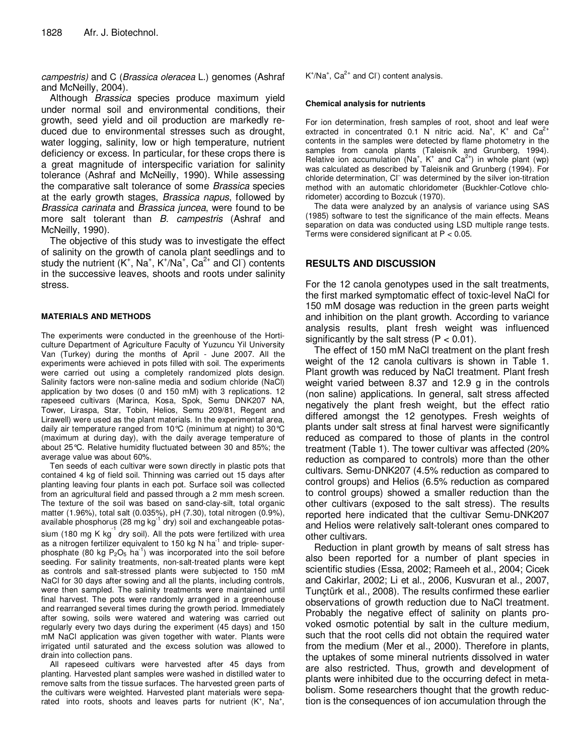campestris) and C (Brassica oleracea L.) genomes (Ashraf and McNeilly, 2004).

Although Brassica species produce maximum yield under normal soil and environmental conditions, their growth, seed yield and oil production are markedly reduced due to environmental stresses such as drought, water logging, salinity, low or high temperature, nutrient deficiency or excess. In particular, for these crops there is a great magnitude of interspecific variation for salinity tolerance (Ashraf and McNeilly, 1990). While assessing the comparative salt tolerance of some Brassica species at the early growth stages, Brassica napus, followed by Brassica carinata and Brassica juncea, were found to be more salt tolerant than B. campestris (Ashraf and McNeilly, 1990).

The objective of this study was to investigate the effect of salinity on the growth of canola plant seedlings and to study the nutrient  $(K^+$ , Na<sup>+</sup>, K<sup>+</sup>/Na<sup>+</sup>, Ca<sup>2+</sup> and Cl<sup>-</sup>) contents in the successive leaves, shoots and roots under salinity stress.

### **MATERIALS AND METHODS**

The experiments were conducted in the greenhouse of the Horticulture Department of Agriculture Faculty of Yuzuncu Yil University Van (Turkey) during the months of April - June 2007. All the experiments were achieved in pots filled with soil. The experiments were carried out using a completely randomized plots design. Salinity factors were non-saline media and sodium chloride (NaCl) application by two doses (0 and 150 mM) with 3 replications. 12 rapeseed cultivars (Marinca, Kosa, Spok, Semu DNK207 NA, Tower, Liraspa, Star, Tobin, Helios, Semu 209/81, Regent and Lirawell) were used as the plant materials. In the experimental area, daily air temperature ranged from 10°C (minimum at night) to 30°C (maximum at during day), with the daily average temperature of about 25°C. Relative humidity fluctuated between 30 and 85%; the average value was about 60%.

Ten seeds of each cultivar were sown directly in plastic pots that contained 4 kg of field soil. Thinning was carried out 15 days after planting leaving four plants in each pot. Surface soil was collected from an agricultural field and passed through a 2 mm mesh screen. The texture of the soil was based on sand-clay-silt, total organic matter (1.96%), total salt (0.035%), pH (7.30), total nitrogen (0.9%), available phosphorus (28 mg  $kg^{-1}$  dry) soil and exchangeable potassium (180 mg K kg $^{-1}$  dry soil). All the pots were fertilized with urea as a nitrogen fertilizer equivalent to 150 kg N  $ha^{-1}$  and triple- superphosphate (80 kg  $P_2O_5$  ha<sup>-1</sup>) was incorporated into the soil before seeding. For salinity treatments, non-salt-treated plants were kept as controls and salt-stressed plants were subjected to 150 mM NaCl for 30 days after sowing and all the plants, including controls, were then sampled. The salinity treatments were maintained until final harvest. The pots were randomly arranged in a greenhouse and rearranged several times during the growth period. Immediately after sowing, soils were watered and watering was carried out regularly every two days during the experiment (45 days) and 150 mM NaCl application was given together with water. Plants were irrigated until saturated and the excess solution was allowed to drain into collection pans.

All rapeseed cultivars were harvested after 45 days from planting. Harvested plant samples were washed in distilled water to remove salts from the tissue surfaces. The harvested green parts of the cultivars were weighted. Harvested plant materials were separated into roots, shoots and leaves parts for nutrient  $(K^*, Na^*,$   $K^{\dagger}/Na^{\dagger}$ , Ca<sup>2+</sup> and CI content analysis.

#### **Chemical analysis for nutrients**

For ion determination, fresh samples of root, shoot and leaf were extracted in concentrated 0.1 N nitric acid. Na<sup>+</sup>, K<sup>+</sup> and Ca<sup>2+</sup> contents in the samples were detected by flame photometry in the samples from canola plants (Taleisnik and Grunberg, 1994). Relative ion accumulation (Na<sup>+</sup>, K<sup>+</sup> and Ca<sup>2+</sup>) in whole plant (wp) was calculated as described by Taleisnik and Grunberg (1994). For chloride determination, CI was determined by the silver ion-titration method with an automatic chloridometer (Buckhler-Cotlove chloridometer) according to Bozcuk (1970).

The data were analyzed by an analysis of variance using SAS (1985) software to test the significance of the main effects. Means separation on data was conducted using LSD multiple range tests. Terms were considered significant at  $P < 0.05$ .

# **RESULTS AND DISCUSSION**

For the 12 canola genotypes used in the salt treatments, the first marked symptomatic effect of toxic-level NaCl for 150 mM dosage was reduction in the green parts weight and inhibition on the plant growth. According to variance analysis results, plant fresh weight was influenced significantly by the salt stress  $(P < 0.01)$ .

The effect of 150 mM NaCl treatment on the plant fresh weight of the 12 canola cultivars is shown in Table 1. Plant growth was reduced by NaCl treatment. Plant fresh weight varied between 8.37 and 12.9 g in the controls (non saline) applications. In general, salt stress affected negatively the plant fresh weight, but the effect ratio differed amongst the 12 genotypes. Fresh weights of plants under salt stress at final harvest were significantly reduced as compared to those of plants in the control treatment (Table 1). The tower cultivar was affected (20% reduction as compared to controls) more than the other cultivars. Semu-DNK207 (4.5% reduction as compared to control groups) and Helios (6.5% reduction as compared to control groups) showed a smaller reduction than the other cultivars (exposed to the salt stress). The results reported here indicated that the cultivar Semu-DNK207 and Helios were relatively salt-tolerant ones compared to other cultivars.

Reduction in plant growth by means of salt stress has also been reported for a number of plant species in scientific studies (Essa, 2002; Rameeh et al., 2004; Cicek and Cakirlar, 2002; Li et al., 2006, Kusvuran et al., 2007, Tunçtürk et al., 2008). The results confirmed these earlier observations of growth reduction due to NaCl treatment. Probably the negative effect of salinity on plants provoked osmotic potential by salt in the culture medium, such that the root cells did not obtain the required water from the medium (Mer et al., 2000). Therefore in plants, the uptakes of some mineral nutrients dissolved in water are also restricted. Thus, growth and development of plants were inhibited due to the occurring defect in metabolism. Some researchers thought that the growth reduction is the consequences of ion accumulation through the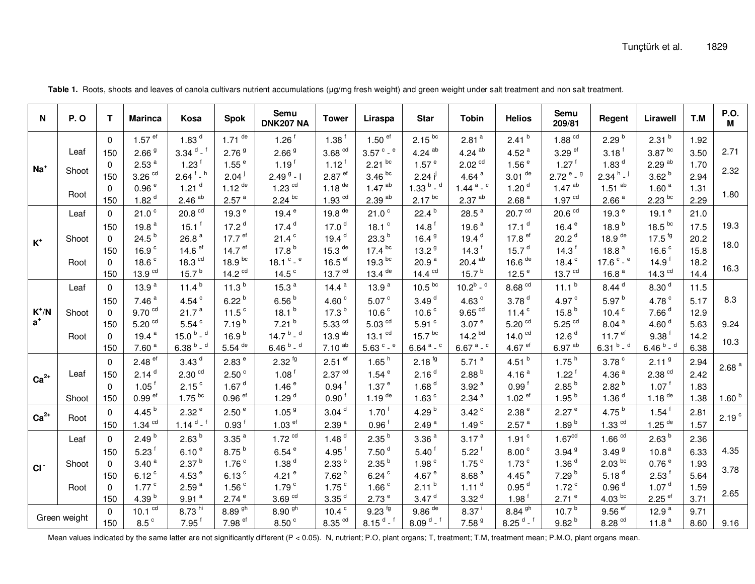| N                        | <b>P.O</b> | т        | <b>Marinca</b>          | Kosa                               | <b>Spok</b>          | Semu<br><b>DNK207 NA</b>          | <b>Tower</b>                    | Liraspa                      | <b>Star</b>          | <b>Tobin</b>                     | <b>Helios</b>           | Semu<br>209/81                     | Regent                       | Lirawell                     | T.M  | P.O.<br>М         |
|--------------------------|------------|----------|-------------------------|------------------------------------|----------------------|-----------------------------------|---------------------------------|------------------------------|----------------------|----------------------------------|-------------------------|------------------------------------|------------------------------|------------------------------|------|-------------------|
| $Na+$                    |            | $\Omega$ | $1.57$ ef               | 1.83 <sup>d</sup>                  | $1.71$ de            | $1.26$ <sup>f</sup>               | 1.38 <sup>†</sup>               | $1.50$ ef                    | $2.15^{bc}$          | 2.81 <sup>a</sup>                | $2.41^{b}$              | 1.88 <sup>cd</sup>                 | 2.29 <sup>b</sup>            | 2.31 <sup>b</sup>            | 1.92 |                   |
|                          | Leaf       | 150      | 2.66 <sup>9</sup>       | $3.34$ d - f                       | 2.76 <sup>9</sup>    | 2.66 <sup>9</sup>                 | 3.68 <sup>cd</sup>              | $3.57$ $\degree$ - $\degree$ | $4.24$ <sup>ab</sup> | 4.24 $^{ab}$                     | 4.52 $a$                | $3.29$ <sup>ef</sup>               | $3.18^{\text{t}}$            | $3.87\,^{\rm bc}$            | 3.50 | 2.71              |
|                          | Shoot      | $\Omega$ | 2.53 <sup>a</sup>       | $1.23$ <sup>f</sup>                | $1.55$ <sup>e</sup>  | $1.19$ <sup>f</sup>               | $1.12^{\dagger}$                | $2.21$ bc                    | 1.57 <sup>e</sup>    | 2.02 <sup>cd</sup>               | 1.56 <sup>e</sup>       | $1.27$ <sup>f</sup>                | 1.83 $d$                     | 2.29 <sup>ab</sup>           | 1.70 | 2.32              |
|                          |            | 150      | $3.26$ $\mathrm{^{cd}}$ | $2.64$ <sup>f</sup> - <sup>h</sup> | 2.04 <sup>1</sup>    | $2.499 - 1$                       | $2.87$ ef                       | 3.46 <sup>bc</sup>           | 2.24 i               | 4.64 $a$                         | $3.01$ <sup>de</sup>    | $2.72$ <sup>e</sup> - <sup>g</sup> | $2.34 h^{-1}$                | 3.62 <sup>b</sup>            | 2.94 |                   |
|                          | Root       | $\Omega$ | 0.96e                   | $1.21$ <sup>d</sup>                | 1.12 $de$            | $1.23$ $cd$                       | 1.18 $de$                       | $1.47$ <sup>ab</sup>         | $1.33^{b}$ - $d$     | $1.44$ <sup>a</sup> - $^{\circ}$ | 1.20 <sup>d</sup>       | $1.47$ <sup>ab</sup>               | $1.51$ <sup>ab</sup>         | 1.60 <sup>a</sup>            | 1.31 | 1.80              |
|                          |            | 150      | 1.82 $d$                | $2.46$ <sup>ab</sup>               | 2.57 <sup>a</sup>    | $2.24^{bc}$                       | $1.93$ <sup>cd</sup>            | $2.39$ <sup>ab</sup>         | $2.17^{bc}$          | $2.37\ ^{\text{ab}}$             | 2.68 <sup>a</sup>       | 1.97 <sup>cd</sup>                 | 2.66 <sup>a</sup>            | $2.23$ bc                    | 2.29 |                   |
| $K^+$                    | Leaf       | $\Omega$ | 21.0 <sup>c</sup>       | $20.8$ $\mathrm{^{cd}}$            | 19.3 $e$             | 19.4 $e$                          | 19.8 $de$                       | 21.0 <sup>c</sup>            | $22.4^{b}$           | 28.5 $^{\circ}$                  | 20.7 <sup>cd</sup>      | 20.6 <sup>cd</sup>                 | 19.3 $e$                     | 19.1 $e$                     | 21.0 |                   |
|                          |            | 150      | 19.8 $a$                | $15.1^{\text{f}}$                  | 17.2 $d$             | 17.4 <sup>d</sup>                 | 17.0 $d$                        | 18.1 $c$                     | $14.8$ <sup>f</sup>  | 19.6 $a$                         | 17.1 <sup>d</sup>       | 16.4 $e$                           | 18.9 <sup>b</sup>            | 18.5 <sup>bc</sup>           | 17.5 | 19.3              |
|                          | Shoot      | $\Omega$ | $24.5^{b}$              | 26.8 $a$                           | 17.7 $e^{ef}$        | 21.4 <sup>c</sup>                 | 19.4 $d$                        | 23.3 <sup>b</sup>            | 16.4 $9$             | 19.4 $d$                         | 17.8 $ef$               | 20.2 <sup>d</sup>                  | 18.9 $de$                    | $17.5$ <sup>fg</sup>         | 20.2 | 18.0              |
|                          |            | 150      | 16.9 $c$                | 14.6 $ef$                          | 14.7 $e^{ef}$        | 17.8 <sup>b</sup>                 | $15.3$ <sup>de</sup>            | 17.4 <sup>bc</sup>           | 13.2 <sup>9</sup>    | 14.3 <sup>†</sup>                | 15.7 <sup>d</sup>       | 14.3 <sup>†</sup>                  | 18.8 $a$                     | 16.6 $c$                     | 15.8 |                   |
|                          | Root       | $\Omega$ | 18.6 $c$                | 18.3 $^{cd}$                       | 18.9 <sup>bc</sup>   | 18.1 $\degree$ - $\degree$        | 16.5 $\mathrm{e}^{\mathrm{ef}}$ | $19.3$ bc                    | 20.9 $a$             | $20.4$ <sup>ab</sup>             | 16.6 $de$               | 18.4 $c$                           | 17.6 $^{\circ}$ - $^{\circ}$ | $14.9^{\text{f}}$            | 18.2 | 16.3              |
|                          |            | 150      | 13.9 <sup>cd</sup>      | 15.7 $^{\circ}$                    | 14.2 $cd$            | 14.5 $\degree$                    | 13.7 $^{cd}$                    | $13.4$ <sup>de</sup>         | 14.4 $^{cd}$         | 15.7 $^{\circ}$                  | 12.5 $e$                | 13.7 <sup>cd</sup>                 | 16.8 $a$                     | 14.3 $cd$                    | 14.4 |                   |
| $K^{\dagger}/N$<br>$a^*$ | Leaf       | $\Omega$ | 13.9 $a$                | 11.4 $^{\circ}$                    | 11.3 <sup>b</sup>    | 15.3 $a$                          | 14.4 $a$                        | 13.9 $a$                     | 10.5 <sup>bc</sup>   | $10.2^b -$ <sup>d</sup>          | 8.68 <sup>cd</sup>      | 11.1 $^{\circ}$                    | 8.44 <sup>d</sup>            | 8.30 <sup>d</sup>            | 11.5 |                   |
|                          |            | 150      | 7.46 $a$                | 4.54 $\degree$                     | $6.22^{b}$           | 6.56 $b$                          | 4.60 $c$                        | 5.07 <sup>c</sup>            | 3.49 <sup>d</sup>    | 4.63 $c$                         | 3.78 <sup>d</sup>       | 4.97 $\degree$                     | 5.97 <sup>b</sup>            | 4.78 $^{\circ}$              | 5.17 | 8.3               |
|                          | Shoot      | $\Omega$ | 9.70 <sup>cd</sup>      | 21.7 <sup>a</sup>                  | 11.5 $\degree$       | 18.1 <sup>b</sup>                 | 17.3 <sup>b</sup>               | 10.6 $\degree$               | 10.6 $c$             | $9.65$ <sup>cd</sup>             | 11.4 $^{\circ}$         | 15.8 <sup>b</sup>                  | 10.4 $\degree$               | 7.66 <sup>d</sup>            | 12.9 |                   |
|                          |            | 150      | $5.20$ $\mathrm{^{cd}}$ | $5.54$ $^{\circ}$                  | $7.19^{b}$           | $7.21^{b}$                        | $5.33$ $cd$                     | $5.03$ $\mathrm{^{cd}}$      | 5.91 $\degree$       | 3.07 <sup>e</sup>                | $5.20$ $\mathrm{^{cd}}$ | $5.25$ <sup>cd</sup>               | 8.04 <sup>a</sup>            | 4.60 $d$                     | 5.63 | 9.24              |
|                          | Root       | $\Omega$ | 19.4 $a$                | 15.0 $^{\rm b}$ - $^{\rm d}$       | 16.9 <sup>b</sup>    | 14.7 $^{\rm b}$ - $^{\rm d}$      | 13.9 <sup>ab</sup>              | $13.1$ $cd$                  | 15.7 <sup>bc</sup>   | 14.2 <sup>bd</sup>               | 14.0 <sup>cd</sup>      | 12.6 <sup>d</sup>                  | 11.7 <sup>ef</sup>           | 9.38 <sup>†</sup>            | 14.2 | 10.3              |
|                          |            | 150      | 7.60 <sup>a</sup>       | $6.38^{b}$ - $d$                   | $5.54$ <sup>de</sup> | $6.46^{b} -$ d                    | 7.10 <sup>ab</sup>              | 5.63 $^{\circ}$ - $^{\circ}$ | 6.64 $a - c$         | $6.67$ <sup>a</sup> - $c$        | 4.67 $e$ <sup>ef</sup>  | $6.97$ <sup>ab</sup>               | $6.31^{b} -$ <sup>d</sup>    | 6.46 $^{\rm b}$ - $^{\rm d}$ | 6.38 |                   |
| $Ca2+$                   | Leaf       | $\Omega$ | $2.48$ ef               | 3.43 <sup>d</sup>                  | 2.83 <sup>e</sup>    | $2.32^{ig}$                       | $2.51$ ef                       | 1.65 $h$                     | $2.18^{6}$           | 5.71 $a$                         | 4.51 $^{\circ}$         | 1.75hh                             | 3.78 <sup>c</sup>            | 2.11 <sup>9</sup>            | 2.94 | 2.68 <sup>a</sup> |
|                          |            | 150      | 2.14 <sup>d</sup>       | 2.30 <sup>cd</sup>                 | 2.50 <sup>c</sup>    | $1.08$ <sup>f</sup>               | 2.37 <sup>cd</sup>              | 1.54 <sup>e</sup>            | 2.16 <sup>d</sup>    | 2.88 <sup>b</sup>                | 4.16 $a$                | $1.22^{\mathrm{f}}$                | 4.36 $a$                     | $2.38$ $\mathrm{^{cd}}$      | 2.42 |                   |
|                          |            | $\Omega$ | $1.05^{\frac{1}{2}}$    | 2.15 <sup>c</sup>                  | 1.67 $d$             | 1.46 <sup>e</sup>                 | $0.94$ <sup>f</sup>             | 1.37 <sup>e</sup>            | 1.68 <sup>d</sup>    | 3.92 <sup>a</sup>                | 0.99 <sup>f</sup>       | 2.85 <sup>b</sup>                  | 2.82 <sup>b</sup>            | 1.07 <sup>1</sup>            | 1.83 |                   |
|                          | Shoot      | 150      | $0.99$ <sup>ef</sup>    | $1.75$ bc                          | $0.96$ <sup>ef</sup> | 1.29 $^{\circ}$                   | $0.90^{\text{f}}$               | $1.19$ <sup>de</sup>         | 1.63 $^{\circ}$      | 2.34 <sup>a</sup>                | $1.02$ ef               | $1.95^{b}$                         | 1.36 <sup>d</sup>            | $1.18$ <sup>de</sup>         | 1.38 | 1.60 <sup>b</sup> |
| $Ca2+$                   | Root       | $\Omega$ | 4.45 $^{\rm b}$         | 2.32 <sup>e</sup>                  | 2.50 <sup>e</sup>    | 1.05 <sup>9</sup>                 | 3.04 <sup>d</sup>               | 1.70 <sup>1</sup>            | 4.29 $^{\rm b}$      | $3.42$ <sup>c</sup>              | 2.38 <sup>e</sup>       | 2.27 <sup>e</sup>                  | 4.75 $^{\rm b}$              | $1.54$ <sup>f</sup>          | 2.81 | 2.19 <sup>c</sup> |
|                          |            | 150      | $1.34$ $\degree$        | $1.14^{d}$ - f                     | 0.93 <sup>†</sup>    | $1.03$ ef                         | 2.39 <sup>a</sup>               | $0.96^{\mathrm{T}}$          | 2.49 <sup>a</sup>    | 1.49 <sup>c</sup>                | 2.57 <sup>a</sup>       | 1.89 $b$                           | $1.33$ $\mathrm{^{cd}}$      | $1.25$ <sup>de</sup>         | 1.57 |                   |
| CI                       | Leaf       | 0        | 2.49 <sup>b</sup>       | 2.63 <sup>b</sup>                  | 3.35 <sup>a</sup>    | $1.72$ $cd$                       | 1.48 $d$                        | 2.35 <sup>b</sup>            | 3.36 <sup>a</sup>    | 3.17 <sup>a</sup>                | $1.91$ <sup>c</sup>     | 1.67 <sup>cd</sup>                 | 1.66 <sup>cd</sup>           | 2.63 <sup>b</sup>            | 2.36 |                   |
|                          |            | 150      | $5.23$ <sup>f</sup>     | 6.10 <sup>e</sup>                  | $8.75^{b}$           | 6.54e                             | 4.95 $†$                        | 7.50 <sup>d</sup>            | 5.40 <sup>†</sup>    | $5.22^{f}$                       | 8.00 <sup>c</sup>       | 3.94 <sup>9</sup>                  | 3.49 <sup>9</sup>            | 10.8 <sup>a</sup>            | 6.33 | 4.35              |
|                          | Shoot      | $\Omega$ | 3.40 <sup>a</sup>       | 2.37 <sup>b</sup>                  | 1.76 <sup>c</sup>    | 1.38 <sup>d</sup>                 | 2.33 <sup>b</sup>               | $2.35^{b}$                   | 1.98 <sup>c</sup>    | $1.75$ <sup>c</sup>              | $1.73$ <sup>c</sup>     | 1.36 <sup>d</sup>                  | 2.03 <sup>bc</sup>           | 0.76e                        | 1.93 |                   |
|                          |            | 150      | $6.12$ <sup>c</sup>     | 4.53 $e$                           | 6.13 <sup>c</sup>    | 4.21 $e$                          | 7.62 <sup>b</sup>               | $6.24$ <sup>c</sup>          | 4.67 $^{\circ}$      | 8.68 <sup>a</sup>                | 4.45 $e$                | 7.29 <sup>b</sup>                  | 5.18 <sup>d</sup>            | $2.53$ <sup>f</sup>          | 5.64 | 3.78              |
|                          | Root       | $\Omega$ | $1.77^{\circ}$          | 2.59 <sup>a</sup>                  | 1.56 <sup>c</sup>    | 1.79 <sup>c</sup>                 | 1.75 <sup>c</sup>               | 1.66 <sup>c</sup>            | $2.11^{b}$           | 1.11 <sup>d</sup>                | 0.95 <sup>d</sup>       | $1.72$ <sup>c</sup>                | 0.96 <sup>d</sup>            | 1.07 $^{\rm d}$              | 1.59 | 2.65              |
|                          |            | 150      | 4.39 $b$                | 9.91 <sup>a</sup>                  | 2.74 <sup>e</sup>    | $3.69$ <sup>cd</sup>              | 3.35 <sup>d</sup>               | 2.73 <sup>e</sup>            | 3.47 <sup>d</sup>    | 3.32 <sup>d</sup>                | $1.98^{\text{f}}$       | 2.71 <sup>e</sup>                  | 4.03 <sup>bc</sup>           | $2.25$ ef                    | 3.71 |                   |
| Green weight             |            | $\Omega$ | 10.1 <sup>cd</sup>      | 8.73 hi                            | $8.89^{9h}$          | $8.90\,\frac{\text{gh}}{\text{}}$ | 10.4 <sup>c</sup>               | $9.23$ <sup>fg</sup>         | $9.86$ <sup>de</sup> | $8.37^{\circ}$                   | $8.84$ $9h$             | 10.7 $b$                           | $9.56$ <sup>ef</sup>         | 12.9 $a$                     | 9.71 |                   |
|                          |            | 150      | 8.5 <sup>c</sup>        | $7.95$ <sup>f</sup>                | 7.98 <sup>ef</sup>   | 8.50 <sup>c</sup>                 | $8.35$ <sup>cd</sup>            | $8.15$ d $-$ <sup>f</sup>    | $8.09d - f$          | 7.58 <sup>9</sup>                | $8.25$ d $-$ f          | 9.82 <sup>b</sup>                  | $8.28$ <sup>cd</sup>         | 11.8 $a$                     | 8.60 | 9.16              |

Table 1. Roots, shoots and leaves of canola cultivars nutrient accumulations (µg/mg fresh weight) and green weight under salt treatment and non salt treatment.

Mean values indicated by the same latter are not significantly different (P < 0.05). N, nutrient; P.O, plant organs; T, treatment; T.M, treatment mean; P.M.O, plant organs mean.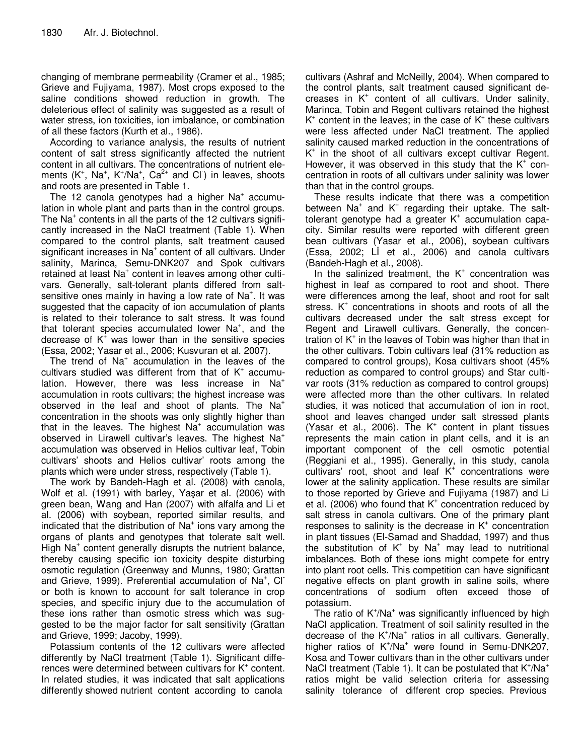changing of membrane permeability (Cramer et al., 1985; Grieve and Fujiyama, 1987). Most crops exposed to the saline conditions showed reduction in growth. The deleterious effect of salinity was suggested as a result of water stress, ion toxicities, ion imbalance, or combination of all these factors (Kurth et al., 1986).

According to variance analysis, the results of nutrient content of salt stress significantly affected the nutrient content in all cultivars. The concentrations of nutrient elements  $(K^+$ , Na<sup>+</sup>, K<sup>+</sup>/Na<sup>+</sup>, Ca<sup>2+</sup> and Cl<sup>-</sup>) in leaves, shoots and roots are presented in Table 1.

The 12 canola genotypes had a higher Na<sup>+</sup> accumulation in whole plant and parts than in the control groups. The Na<sup>+</sup> contents in all the parts of the 12 cultivars significantly increased in the NaCl treatment (Table 1). When compared to the control plants, salt treatment caused significant increases in  $Na<sup>+</sup>$  content of all cultivars. Under salinity, Marinca, Semu-DNK207 and Spok cultivars retained at least  $Na<sup>+</sup>$  content in leaves among other cultivars. Generally, salt-tolerant plants differed from saltsensitive ones mainly in having a low rate of  $Na<sup>+</sup>$ . It was suggested that the capacity of ion accumulation of plants is related to their tolerance to salt stress. It was found that tolerant species accumulated lower Na<sup>+</sup>, and the decrease of  $K^+$  was lower than in the sensitive species (Essa, 2002; Yasar et al., 2006; Kusvuran et al. 2007).

The trend of Na<sup>+</sup> accumulation in the leaves of the cultivars studied was different from that of  $K^+$  accumulation. However, there was less increase in Na<sup>+</sup> accumulation in roots cultivars; the highest increase was observed in the leaf and shoot of plants. The  $Na<sup>+</sup>$ concentration in the shoots was only slightly higher than that in the leaves. The highest  $Na<sup>+</sup>$  accumulation was observed in Lirawell cultivar's leaves. The highest  $Na<sup>+</sup>$ accumulation was observed in Helios cultivar leaf, Tobin cultivars' shoots and Helios cultivar' roots among the plants which were under stress, respectively (Table 1).

The work by Bandeh-Hagh et al. (2008) with canola, Wolf et al. (1991) with barley, Yaşar et al. (2006) with green bean, Wang and Han (2007) with alfalfa and Li et al. (2006) with soybean, reported similar results, and indicated that the distribution of Na<sup>+</sup> ions vary among the organs of plants and genotypes that tolerate salt well. High Na<sup>+</sup> content generally disrupts the nutrient balance, thereby causing specific ion toxicity despite disturbing osmotic regulation (Greenway and Munns, 1980; Grattan and Grieve, 1999). Preferential accumulation of Na<sup>+</sup>, Cl or both is known to account for salt tolerance in crop species, and specific injury due to the accumulation of these ions rather than osmotic stress which was suggested to be the major factor for salt sensitivity (Grattan and Grieve, 1999; Jacoby, 1999).

Potassium contents of the 12 cultivars were affected differently by NaCl treatment (Table 1). Significant differences were determined between cultivars for K<sup>+</sup> content. In related studies, it was indicated that salt applications differently showed nutrient content according to canola

cultivars (Ashraf and McNeilly, 2004). When compared to the control plants, salt treatment caused significant decreases in  $K^+$  content of all cultivars. Under salinity, Marinca, Tobin and Regent cultivars retained the highest  $K^*$  content in the leaves; in the case of  $K^*$  these cultivars were less affected under NaCl treatment. The applied salinity caused marked reduction in the concentrations of K + in the shoot of all cultivars except cultivar Regent. However, it was observed in this study that the  $K^*$  concentration in roots of all cultivars under salinity was lower than that in the control groups.

These results indicate that there was a competition between Na<sup>+</sup> and K<sup>+</sup> regarding their uptake. The salttolerant genotype had a greater K<sup>+</sup> accumulation capacity. Similar results were reported with different green bean cultivars (Yasar et al., 2006), soybean cultivars  $(Essa, 2002; L\dot{l}$  et al., 2006) and canola cultivars (Bandeh-Hagh et al., 2008).

In the salinized treatment, the  $K^*$  concentration was highest in leaf as compared to root and shoot. There were differences among the leaf, shoot and root for salt stress.  $K<sup>+</sup>$  concentrations in shoots and roots of all the cultivars decreased under the salt stress except for Regent and Lirawell cultivars. Generally, the concentration of K<sup>+</sup> in the leaves of Tobin was higher than that in the other cultivars. Tobin cultivars leaf (31% reduction as compared to control groups), Kosa cultivars shoot (45% reduction as compared to control groups) and Star cultivar roots (31% reduction as compared to control groups) were affected more than the other cultivars. In related studies, it was noticed that accumulation of ion in root, shoot and leaves changed under salt stressed plants (Yasar et al., 2006). The  $K^+$  content in plant tissues represents the main cation in plant cells, and it is an important component of the cell osmotic potential (Reggiani et al., 1995). Generally, in this study, canola cultivars' root, shoot and leaf  $K^+$  concentrations were lower at the salinity application. These results are similar to those reported by Grieve and Fujiyama (1987) and Li et al. (2006) who found that  $K^+$  concentration reduced by salt stress in canola cultivars. One of the primary plant responses to salinity is the decrease in  $K^+$  concentration in plant tissues (El-Samad and Shaddad, 1997) and thus the substitution of K<sup>+</sup> by Na<sup>+</sup> may lead to nutritional imbalances. Both of these ions might compete for entry into plant root cells. This competition can have significant negative effects on plant growth in saline soils, where concentrations of sodium often exceed those of potassium.

The ratio of K<sup>+</sup>/Na<sup>+</sup> was significantly influenced by high NaCl application. Treatment of soil salinity resulted in the decrease of the K<sup>+</sup>/Na<sup>+</sup> ratios in all cultivars. Generally, higher ratios of K<sup>+</sup>/Na<sup>+</sup> were found in Semu-DNK207, Kosa and Tower cultivars than in the other cultivars under NaCl treatment (Table 1). It can be postulated that  $K^{\dagger}/Na^{\dagger}$ ratios might be valid selection criteria for assessing salinity tolerance of different crop species. Previous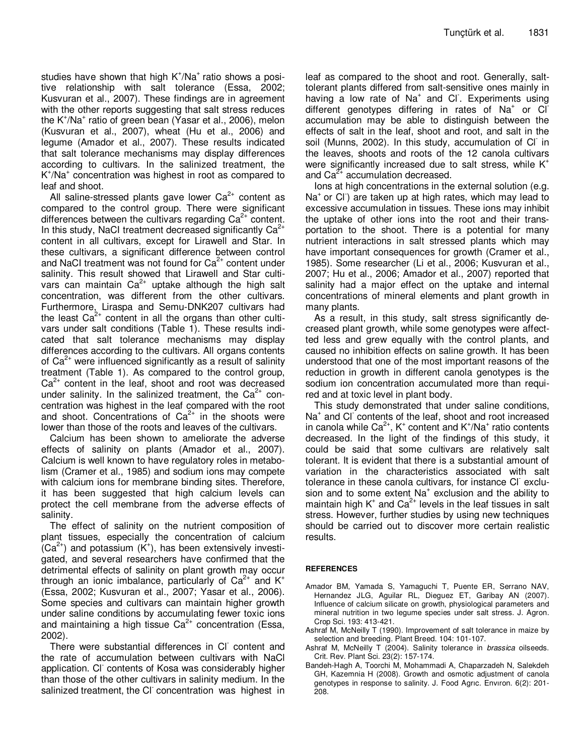studies have shown that high K<sup>+</sup>/Na<sup>+</sup> ratio shows a positive relationship with salt tolerance (Essa, 2002; Kusvuran et al., 2007). These findings are in agreement with the other reports suggesting that salt stress reduces the K<sup>+</sup>/Na<sup>+</sup> ratio of green bean (Yasar et al., 2006), melon (Kusvuran et al., 2007), wheat (Hu et al., 2006) and legume (Amador et al., 2007). These results indicated that salt tolerance mechanisms may display differences according to cultivars. In the salinized treatment, the K<sup>+</sup>/Na<sup>+</sup> concentration was highest in root as compared to leaf and shoot.

All saline-stressed plants gave lower  $Ca<sup>2+</sup>$  content as compared to the control group. There were significant differences between the cultivars regarding  $Ca<sup>2+</sup>$  content. In this study, NaCI treatment decreased significantly  $Ca^{2+}$ content in all cultivars, except for Lirawell and Star. In these cultivars, a significant difference between control and NaCI treatment was not found for  $Ca<sup>2+</sup>$  content under salinity. This result showed that Lirawell and Star cultivars can maintain  $Ca^{2+}$  uptake although the high salt concentration, was different from the other cultivars. Furthermore, Liraspa and Semu-DNK207 cultivars had the least  $Ca^{2+}$  content in all the organs than other cultivars under salt conditions (Table 1). These results indicated that salt tolerance mechanisms may display differences according to the cultivars. All organs contents of  $Ca<sup>2+</sup>$  were influenced significantly as a result of salinity treatment (Table 1). As compared to the control group,  $Ca<sup>2+</sup>$  content in the leaf, shoot and root was decreased under salinity. In the salinized treatment, the  $Ca^{2+}$  concentration was highest in the leaf compared with the root and shoot. Concentrations of  $Ca<sup>2+</sup>$  in the shoots were lower than those of the roots and leaves of the cultivars.

Calcium has been shown to ameliorate the adverse effects of salinity on plants (Amador et al., 2007). Calcium is well known to have regulatory roles in metabolism (Cramer et al., 1985) and sodium ions may compete with calcium ions for membrane binding sites. Therefore, it has been suggested that high calcium levels can protect the cell membrane from the adverse effects of salinity.

The effect of salinity on the nutrient composition of plant tissues, especially the concentration of calcium  $(Ca^{2+})$  and potassium  $(K^+)$ , has been extensively investigated, and several researchers have confirmed that the detrimental effects of salinity on plant growth may occur through an ionic imbalance, particularly of  $Ca^{2+}$  and K<sup>+</sup> (Essa, 2002; Kusvuran et al., 2007; Yasar et al., 2006). Some species and cultivars can maintain higher growth under saline conditions by accumulating fewer toxic ions and maintaining a high tissue  $Ca<sup>2+</sup>$  concentration (Essa, 2002).

There were substantial differences in CI content and the rate of accumulation between cultivars with NaCl application. Cl contents of Kosa was considerably higher than those of the other cultivars in salinity medium. In the salinized treatment, the CI concentration was highest in

leaf as compared to the shoot and root. Generally, salttolerant plants differed from salt-sensitive ones mainly in having a low rate of Na<sup>+</sup> and Cl. Experiments using different genotypes differing in rates of Na<sup>+</sup> or Cl accumulation may be able to distinguish between the effects of salt in the leaf, shoot and root, and salt in the soil (Munns, 2002). In this study, accumulation of Cl in the leaves, shoots and roots of the 12 canola cultivars were significantly increased due to salt stress, while  $K^+$ and  $Ca^{2+}$  accumulation decreased.

Ions at high concentrations in the external solution (e.g. Na<sup>+</sup> or Cl<sup>-</sup>) are taken up at high rates, which may lead to excessive accumulation in tissues. These ions may inhibit the uptake of other ions into the root and their transportation to the shoot. There is a potential for many nutrient interactions in salt stressed plants which may have important consequences for growth (Cramer et al., 1985). Some researcher (Li et al., 2006; Kusvuran et al., 2007; Hu et al., 2006; Amador et al., 2007) reported that salinity had a major effect on the uptake and internal concentrations of mineral elements and plant growth in many plants.

As a result, in this study, salt stress significantly decreased plant growth, while some genotypes were affectted less and grew equally with the control plants, and caused no inhibition effects on saline growth. It has been understood that one of the most important reasons of the reduction in growth in different canola genotypes is the sodium ion concentration accumulated more than required and at toxic level in plant body.

This study demonstrated that under saline conditions, Na<sup>+</sup> and Cl<sup>-</sup> contents of the leaf, shoot and root increased in canola while  $Ca^{2+}$ , K<sup>+</sup> content and K<sup>+</sup>/Na<sup>+</sup> ratio contents decreased. In the light of the findings of this study, it could be said that some cultivars are relatively salt tolerant. It is evident that there is a substantial amount of variation in the characteristics associated with salt tolerance in these canola cultivars, for instance Cl<sup>-</sup> exclusion and to some extent  $Na<sup>+</sup>$  exclusion and the ability to maintain high K<sup>+</sup> and Ca<sup>2+</sup> levels in the leaf tissues in salt stress. However, further studies by using new techniques should be carried out to discover more certain realistic results.

# **REFERENCES**

- Amador BM, Yamada S, Yamaguchi T, Puente ER, Serrano NAV, Hernandez JLG, Aguilar RL, Dieguez ET, Garibay AN (2007). Influence of calcium silicate on growth, physiological parameters and mineral nutrition in two legume species under salt stress. J. Agron. Crop Sci. 193: 413-421.
- Ashraf M, McNeilly T (1990). Improvement of salt tolerance in maize by selection and breeding. Plant Breed. 104: 101-107.
- Ashraf M, McNeilly T (2004). Salinity tolerance in brassica oilseeds. Crit. Rev. Plant Sci. 23(2): 157-174.
- Bandeh-Hagh A, Toorchi M, Mohammadi A, Chaparzadeh N, Salekdeh GH, Kazemnia H (2008). Growth and osmotic adjustment of canola genotypes in response to salinity. J. Food Agrıc. Envıron. 6(2): 201- 208.